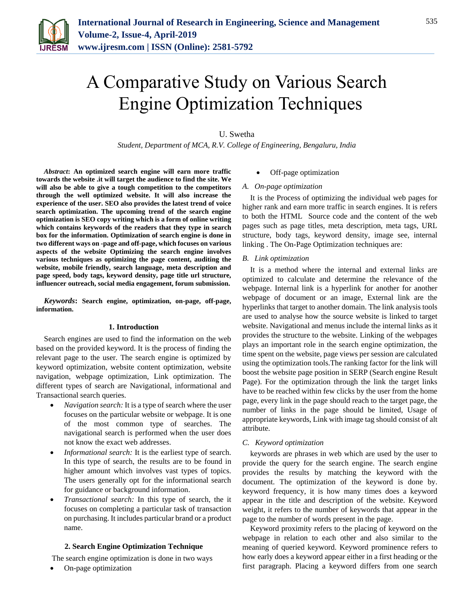

# A Comparative Study on Various Search Engine Optimization Techniques

## U. Swetha

*Student, Department of MCA, R.V. College of Engineering, Bengaluru, India*

*Abstract***: An optimized search engine will earn more traffic towards the website .it will target the audience to find the site. We will also be able to give a tough competition to the competitors through the well optimized website. It will also increase the experience of the user. SEO also provides the latest trend of voice search optimization. The upcoming trend of the search engine optimization is SEO copy writing which is a form of online writing which contains keywords of the readers that they type in search box for the information. Optimization of search engine is done in two different ways on -page and off-page, which focuses on various aspects of the website Optimizing the search engine involves various techniques as optimizing the page content, auditing the website, mobile friendly, search language, meta description and page speed, body tags, keyword density, page title url structure, influencer outreach, social media engagement, forum submission.**

*Keywords***: Search engine, optimization, on-page, off-page, information.**

#### **1. Introduction**

Search engines are used to find the information on the web based on the provided keyword. It is the process of finding the relevant page to the user. The search engine is optimized by keyword optimization, website content optimization, website navigation, webpage optimization, Link optimization. The different types of search are Navigational, informational and Transactional search queries.

- *Navigation search:* It is a type of search where the user focuses on the particular website or webpage. It is one of the most common type of searches. The navigational search is performed when the user does not know the exact web addresses.
- *Informational search:* It is the earliest type of search. In this type of search, the results are to be found in higher amount which involves vast types of topics. The users generally opt for the informational search for guidance or background information.
- *Transactional search:* In this type of search, the it focuses on completing a particular task of transaction on purchasing. It includes particular brand or a product name.

#### **2. Search Engine Optimization Technique**

The search engine optimization is done in two ways

On-page optimization

#### Off-page optimization

#### *A. On-page optimization*

It is the Process of optimizing the individual web pages for higher rank and earn more traffic in search engines. It is refers to both the HTML Source code and the content of the web pages such as page titles, meta description, meta tags, URL structure, body tags, keyword density, image see, internal linking . The On-Page Optimization techniques are:

#### *B. Link optimization*

It is a method where the internal and external links are optimized to calculate and determine the relevance of the webpage. Internal link is a hyperlink for another for another webpage of document or an image, External link are the hyperlinks that target to another domain. The link analysis tools are used to analyse how the source website is linked to target website. Navigational and menus include the internal links as it provides the structure to the website. Linking of the webpages plays an important role in the search engine optimization, the time spent on the website, page views per session are calculated using the optimization tools.The ranking factor for the link will boost the website page position in SERP (Search engine Result Page). For the optimization through the link the target links have to be reached within few clicks by the user from the home page, every link in the page should reach to the target page, the number of links in the page should be limited, Usage of appropriate keywords, Link with image tag should consist of alt attribute.

#### *C. Keyword optimization*

keywords are phrases in web which are used by the user to provide the query for the search engine. The search engine provides the results by matching the keyword with the document. The optimization of the keyword is done by. keyword frequency, it is how many times does a keyword appear in the title and description of the website. Keyword weight, it refers to the number of keywords that appear in the page to the number of words present in the page.

Keyword proximity refers to the placing of keyword on the webpage in relation to each other and also similar to the meaning of queried keyword. Keyword prominence refers to how early does a keyword appear either in a first heading or the first paragraph. Placing a keyword differs from one search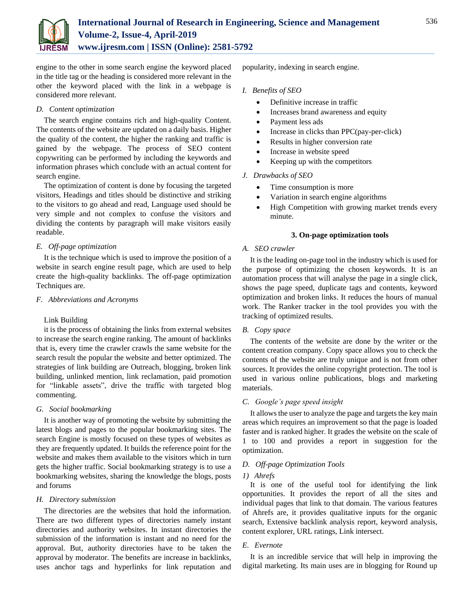

engine to the other in some search engine the keyword placed in the title tag or the heading is considered more relevant in the other the keyword placed with the link in a webpage is considered more relevant.

## *D. Content optimization*

The search engine contains rich and high-quality Content. The contents of the website are updated on a daily basis. Higher the quality of the content, the higher the ranking and traffic is gained by the webpage. The process of SEO content copywriting can be performed by including the keywords and information phrases which conclude with an actual content for search engine.

The optimization of content is done by focusing the targeted visitors, Headings and titles should be distinctive and striking to the visitors to go ahead and read, Language used should be very simple and not complex to confuse the visitors and dividing the contents by paragraph will make visitors easily readable.

# *E. Off-page optimization*

It is the technique which is used to improve the position of a website in search engine result page, which are used to help create the high-quality backlinks. The off-page optimization Techniques are.

## *F. Abbreviations and Acronyms*

# Link Building

it is the process of obtaining the links from external websites to increase the search engine ranking. The amount of backlinks that is, every time the crawler crawls the same website for the search result the popular the website and better optimized. The strategies of link building are Outreach, blogging, broken link building, unlinked mention, link reclamation, paid promotion for "linkable assets", drive the traffic with targeted blog commenting.

### *G. Social bookmarking*

It is another way of promoting the website by submitting the latest blogs and pages to the popular bookmarking sites. The search Engine is mostly focused on these types of websites as they are frequently updated. It builds the reference point for the website and makes them available to the visitors which in turn gets the higher traffic. Social bookmarking strategy is to use a bookmarking websites, sharing the knowledge the blogs, posts and forums

### *H. Directory submission*

The directories are the websites that hold the information. There are two different types of directories namely instant directories and authority websites. In instant directories the submission of the information is instant and no need for the approval. But, authority directories have to be taken the approval by moderator. The benefits are increase in backlinks, uses anchor tags and hyperlinks for link reputation and

popularity, indexing in search engine.

## *I. Benefits of SEO*

- Definitive increase in traffic
- Increases brand awareness and equity
- Payment less ads
- Increase in clicks than PPC(pay-per-click)
- Results in higher conversion rate
- Increase in website speed
- Keeping up with the competitors

### *J. Drawbacks of SEO*

- Time consumption is more
- Variation in search engine algorithms
- High Competition with growing market trends every minute.

### **3. On-page optimization tools**

## *A. SEO crawler*

It is the leading on-page tool in the industry which is used for the purpose of optimizing the chosen keywords. It is an automation process that will analyse the page in a single click, shows the page speed, duplicate tags and contents, keyword optimization and broken links. It reduces the hours of manual work. The Ranker tracker in the tool provides you with the tracking of optimized results.

# *B. Copy space*

The contents of the website are done by the writer or the content creation company. Copy space allows you to check the contents of the website are truly unique and is not from other sources. It provides the online copyright protection. The tool is used in various online publications, blogs and marketing materials.

### *C. Google's page speed insight*

It allows the user to analyze the page and targets the key main areas which requires an improvement so that the page is loaded faster and is ranked higher. It grades the website on the scale of 1 to 100 and provides a report in suggestion for the optimization.

### *D. Off-page Optimization Tools*

### *1) Ahrefs*

It is one of the useful tool for identifying the link opportunities. It provides the report of all the sites and individual pages that link to that domain. The various features of Ahrefs are, it provides qualitative inputs for the organic search, Extensive backlink analysis report, keyword analysis, content explorer, URL ratings, Link intersect.

### *E. Evernote*

It is an incredible service that will help in improving the digital marketing. Its main uses are in blogging for Round up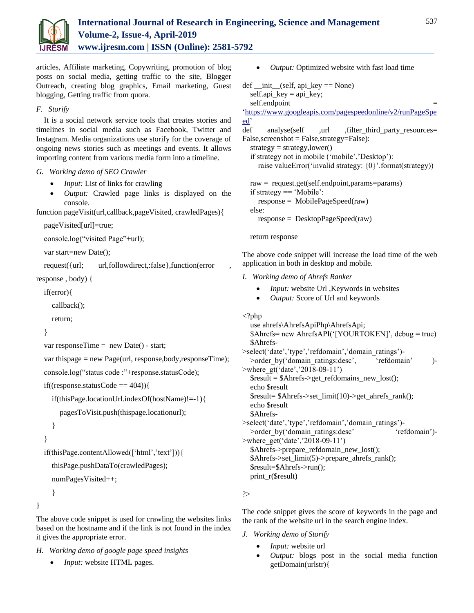

articles, Affiliate marketing, Copywriting, promotion of blog posts on social media, getting traffic to the site, Blogger Outreach, creating blog graphics, Email marketing, Guest blogging, Getting traffic from quora.

# *F. Storify*

It is a social network service tools that creates stories and timelines in social media such as Facebook, Twitter and Instagram. Media organizations use storify for the coverage of ongoing news stories such as meetings and events. It allows importing content from various media form into a timeline.

# *G. Working demo of SEO Crawler*

- *Input:* List of links for crawling
- *Output:* Crawled page links is displayed on the console.

function pageVisit(url,callback,pageVisited, crawledPages){

```
pageVisited[url]=true;
```
console.log("visited Page"+url);

```
var start=new Date();
```
request({url; url,followdirect,:false},function(error

```
response , body) {
```

```
if(error){
```
callback();

```
return;
```

```
}
```
var responseTime = new Date() - start;

```
var thispage = new Page(url, response,body,responseTime);
```
console.log("status code :"+response.statusCode);

```
if((response.statusCode == 404)){
```
if(thisPage.locationUrl.indexOf(hostName)!=-1){

pagesToVisit.push(thispage.locationurl);

```
}
```

```
}
```

```
if(thisPage.contentAllowed(['html','text'])){
```

```
thisPage.pushDataTo(crawledPages);
```

```
numPagesVisited++;
```
}

}

The above code snippet is used for crawling the websites links based on the hostname and if the link is not found in the index it gives the appropriate error.

- *H. Working demo of google page speed insights*
	- *Input:* website HTML pages.

```
 Output: Optimized website with fast load time
def\_init_(self, api\_key == None)self.api key =api key;
  self.endpoint
'https://www.googleapis.com/pagespeedonline/v2/runPageSpe
ed'
def analyse(self ,url , filter third party resources=
False,screenshot = False,strategy=False):
  strategy = strategy, lower()if strategy not in mobile ('mobile','Desktop'):
    raise valueError('invalid strategy: {0}'.format(strategy))
  raw = request.get(self.endpoint,params=params)
  if strategy == 'Mobile':
    response = MobilePageSpeed(raw)
  else:
    response = DesktopPageSpeed(raw)
  return response
The above code snippet will increase the load time of the web 
application in both in desktop and mobile.
I. Working demo of Ahrefs Ranker
         Input: website Url ,Keywords in websites
     Output: Score of Url and keywords
\langle?php
  use ahrefs\AhrefsApiPhp\AhrefsApi;
  $Ahrefs= new AhrefsAPI('[YOURTOKEN]', debug = true)
  $Ahrefs-
>select('date','type','refdomain','domain_ratings')-
  >order by('domain ratings:desc', 'refdomain' )-
>where_gt('date','2018-09-11')
  $result = $Ahrefs->get_refdomains_new_lost();
  echo $result
```
\$result= \$Ahrefs->set\_limit(10)->get\_ahrefs\_rank(); echo \$result

```
$Ahrefs-
```
>select('date','type','refdomain','domain\_ratings')- >order\_by('domain\_ratings:desc' 'refdomain')->where\_get('date','2018-09-11') \$Ahrefs->prepare\_refdomain\_new\_lost(); \$Ahrefs->set\_limit(5)->prepare\_ahrefs\_rank(); \$result=\$Ahrefs->run();

```
print_r($result)
```
?>

The code snippet gives the score of keywords in the page and the rank of the website url in the search engine index.

- *J. Working demo of Storify*
	- *Input:* website url
	- *Output:* blogs post in the social media function getDomain(urlstr){